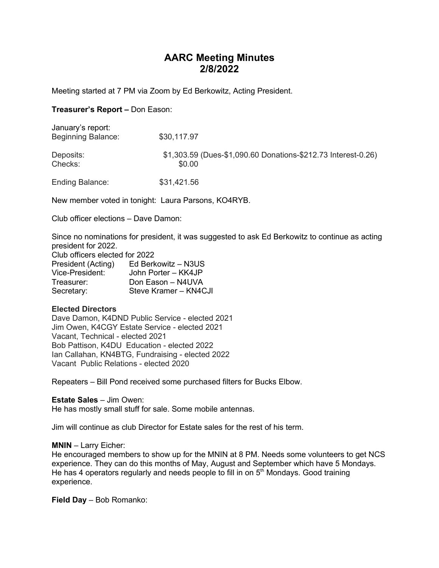# AARC Meeting Minutes 2/8/2022

Meeting started at 7 PM via Zoom by Ed Berkowitz, Acting President.

## Treasurer's Report – Don Eason:

| January's report:<br><b>Beginning Balance:</b> | \$30,117.97                                                             |
|------------------------------------------------|-------------------------------------------------------------------------|
| Deposits:<br>Checks:                           | \$1,303.59 (Dues-\$1,090.60 Donations-\$212.73 Interest-0.26)<br>\$0.00 |
| <b>Ending Balance:</b>                         | \$31,421.56                                                             |

New member voted in tonight: Laura Parsons, KO4RYB.

Club officer elections – Dave Damon:

Since no nominations for president, it was suggested to ask Ed Berkowitz to continue as acting president for 2022.

| Club officers elected for 2022 |                       |  |  |  |
|--------------------------------|-----------------------|--|--|--|
| President (Acting)             | Ed Berkowitz - N3US   |  |  |  |
| Vice-President:                | John Porter - KK4JP   |  |  |  |
| Treasurer:                     | Don Eason - N4UVA     |  |  |  |
| Secretary:                     | Steve Kramer - KN4CJI |  |  |  |

## Elected Directors

Dave Damon, K4DND Public Service - elected 2021 Jim Owen, K4CGY Estate Service - elected 2021 Vacant, Technical - elected 2021 Bob Pattison, K4DU Education - elected 2022 Ian Callahan, KN4BTG, Fundraising - elected 2022 Vacant Public Relations - elected 2020

Repeaters – Bill Pond received some purchased filters for Bucks Elbow.

Estate Sales – Jim Owen: He has mostly small stuff for sale. Some mobile antennas.

Jim will continue as club Director for Estate sales for the rest of his term.

### MNIN – Larry Eicher:

He encouraged members to show up for the MNIN at 8 PM. Needs some volunteers to get NCS experience. They can do this months of May, August and September which have 5 Mondays. He has 4 operators regularly and needs people to fill in on 5<sup>th</sup> Mondays. Good training experience.

Field Day – Bob Romanko: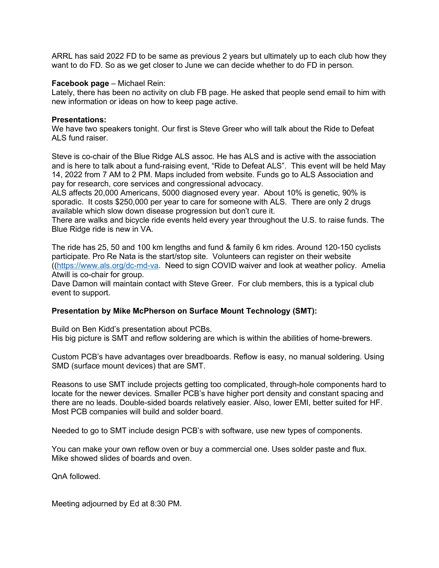ARRL has said 2022 FD to be same as previous 2 years but ultimately up to each club how they want to do FD. So as we get closer to June we can decide whether to do FD in person.

#### Facebook page – Michael Rein:

Lately, there has been no activity on club FB page. He asked that people send email to him with new information or ideas on how to keep page active.

#### Presentations:

We have two speakers tonight. Our first is Steve Greer who will talk about the Ride to Defeat ALS fund raiser.

Steve is co-chair of the Blue Ridge ALS assoc. He has ALS and is active with the association and is here to talk about a fund-raising event, "Ride to Defeat ALS". This event will be held May 14, 2022 from 7 AM to 2 PM. Maps included from website. Funds go to ALS Association and pay for research, core services and congressional advocacy.

ALS affects 20,000 Americans, 5000 diagnosed every year. About 10% is genetic, 90% is sporadic. It costs \$250,000 per year to care for someone with ALS. There are only 2 drugs available which slow down disease progression but don't cure it.

There are walks and bicycle ride events held every year throughout the U.S. to raise funds. The Blue Ridge ride is new in VA.

The ride has 25, 50 and 100 km lengths and fund & family 6 km rides. Around 120-150 cyclists participate. Pro Re Nata is the start/stop site. Volunteers can register on their website ((https://www.als.org/dc-md-va. Need to sign COVID waiver and look at weather policy. Amelia Atwill is co-chair for group.

Dave Damon will maintain contact with Steve Greer. For club members, this is a typical club event to support.

### Presentation by Mike McPherson on Surface Mount Technology (SMT):

Build on Ben Kidd's presentation about PCBs. His big picture is SMT and reflow soldering are which is within the abilities of home-brewers.

Custom PCB's have advantages over breadboards. Reflow is easy, no manual soldering. Using SMD (surface mount devices) that are SMT.

Reasons to use SMT include projects getting too complicated, through-hole components hard to locate for the newer devices. Smaller PCB's have higher port density and constant spacing and there are no leads. Double-sided boards relatively easier. Also, lower EMI, better suited for HF. Most PCB companies will build and solder board.

Needed to go to SMT include design PCB's with software, use new types of components.

You can make your own reflow oven or buy a commercial one. Uses solder paste and flux. Mike showed slides of boards and oven.

QnA followed.

Meeting adjourned by Ed at 8:30 PM.